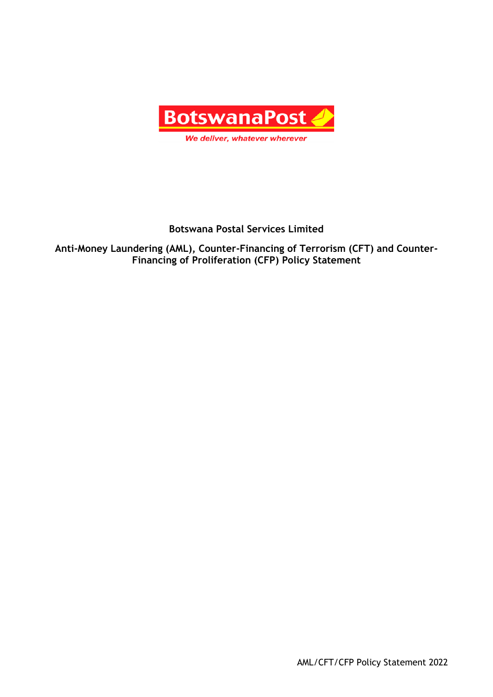

# **Botswana Postal Services Limited**

**Anti-Money Laundering (AML), Counter-Financing of Terrorism (CFT) and Counter-Financing of Proliferation (CFP) Policy Statement**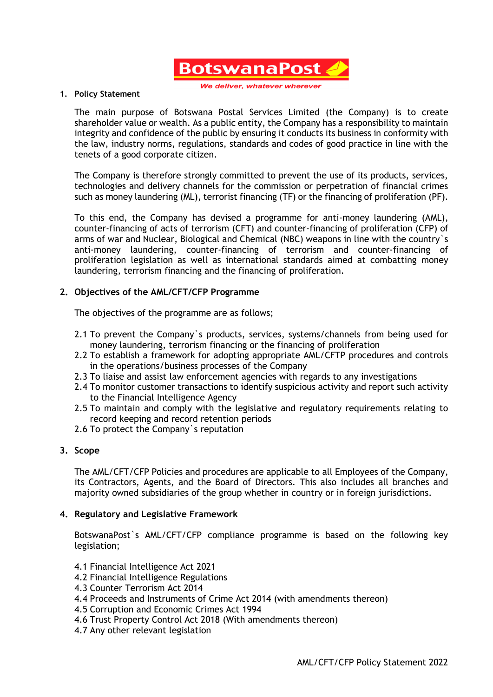

We deliver, whatever whereve

#### **1. Policy Statement**

The main purpose of Botswana Postal Services Limited (the Company) is to create shareholder value or wealth. As a public entity, the Company has a responsibility to maintain integrity and confidence of the public by ensuring it conducts its business in conformity with the law, industry norms, regulations, standards and codes of good practice in line with the tenets of a good corporate citizen.

The Company is therefore strongly committed to prevent the use of its products, services, technologies and delivery channels for the commission or perpetration of financial crimes such as money laundering (ML), terrorist financing (TF) or the financing of proliferation (PF).

To this end, the Company has devised a programme for anti-money laundering (AML), counter-financing of acts of terrorism (CFT) and counter-financing of proliferation (CFP) of arms of war and Nuclear, Biological and Chemical (NBC) weapons in line with the country`s anti-money laundering, counter-financing of terrorism and counter-financing of proliferation legislation as well as international standards aimed at combatting money laundering, terrorism financing and the financing of proliferation.

## **2. Objectives of the AML/CFT/CFP Programme**

The objectives of the programme are as follows;

- 2.1 To prevent the Company`s products, services, systems/channels from being used for money laundering, terrorism financing or the financing of proliferation
- 2.2 To establish a framework for adopting appropriate AML/CFTP procedures and controls in the operations/business processes of the Company
- 2.3 To liaise and assist law enforcement agencies with regards to any investigations
- 2.4 To monitor customer transactions to identify suspicious activity and report such activity to the Financial Intelligence Agency
- 2.5 To maintain and comply with the legislative and regulatory requirements relating to record keeping and record retention periods
- 2.6 To protect the Company`s reputation

#### **3. Scope**

The AML/CFT/CFP Policies and procedures are applicable to all Employees of the Company, its Contractors, Agents, and the Board of Directors. This also includes all branches and majority owned subsidiaries of the group whether in country or in foreign jurisdictions.

## **4. Regulatory and Legislative Framework**

BotswanaPost`s AML/CFT/CFP compliance programme is based on the following key legislation;

- 4.1 Financial Intelligence Act 2021
- 4.2 Financial Intelligence Regulations
- 4.3 Counter Terrorism Act 2014
- 4.4 Proceeds and Instruments of Crime Act 2014 (with amendments thereon)
- 4.5 Corruption and Economic Crimes Act 1994
- 4.6 Trust Property Control Act 2018 (With amendments thereon)
- 4.7 Any other relevant legislation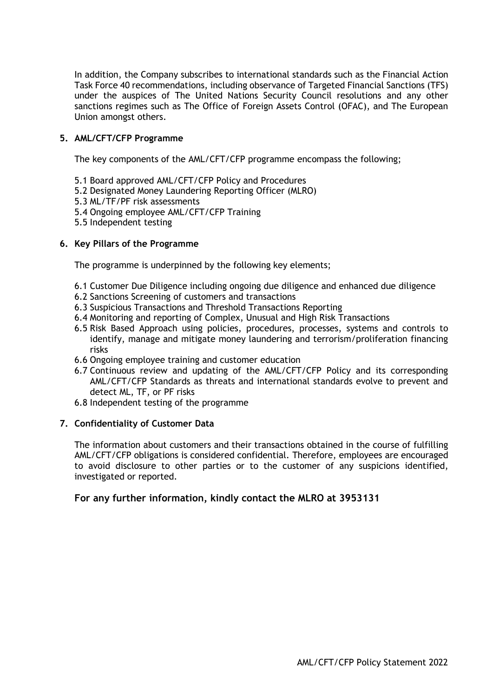In addition, the Company subscribes to international standards such as the Financial Action Task Force 40 recommendations, including observance of Targeted Financial Sanctions (TFS) under the auspices of The United Nations Security Council resolutions and any other sanctions regimes such as The Office of Foreign Assets Control (OFAC), and The European Union amongst others.

## **5. AML/CFT/CFP Programme**

The key components of the AML/CFT/CFP programme encompass the following;

- 5.1 Board approved AML/CFT/CFP Policy and Procedures
- 5.2 Designated Money Laundering Reporting Officer (MLRO)
- 5.3 ML/TF/PF risk assessments
- 5.4 Ongoing employee AML/CFT/CFP Training
- 5.5 Independent testing

#### **6. Key Pillars of the Programme**

The programme is underpinned by the following key elements;

- 6.1 Customer Due Diligence including ongoing due diligence and enhanced due diligence
- 6.2 Sanctions Screening of customers and transactions
- 6.3 Suspicious Transactions and Threshold Transactions Reporting
- 6.4 Monitoring and reporting of Complex, Unusual and High Risk Transactions
- 6.5 Risk Based Approach using policies, procedures, processes, systems and controls to identify, manage and mitigate money laundering and terrorism/proliferation financing risks
- 6.6 Ongoing employee training and customer education
- 6.7 Continuous review and updating of the AML/CFT/CFP Policy and its corresponding AML/CFT/CFP Standards as threats and international standards evolve to prevent and detect ML, TF, or PF risks
- 6.8 Independent testing of the programme

## **7. Confidentiality of Customer Data**

The information about customers and their transactions obtained in the course of fulfilling AML/CFT/CFP obligations is considered confidential. Therefore, employees are encouraged to avoid disclosure to other parties or to the customer of any suspicions identified, investigated or reported.

## **For any further information, kindly contact the MLRO at 3953131**